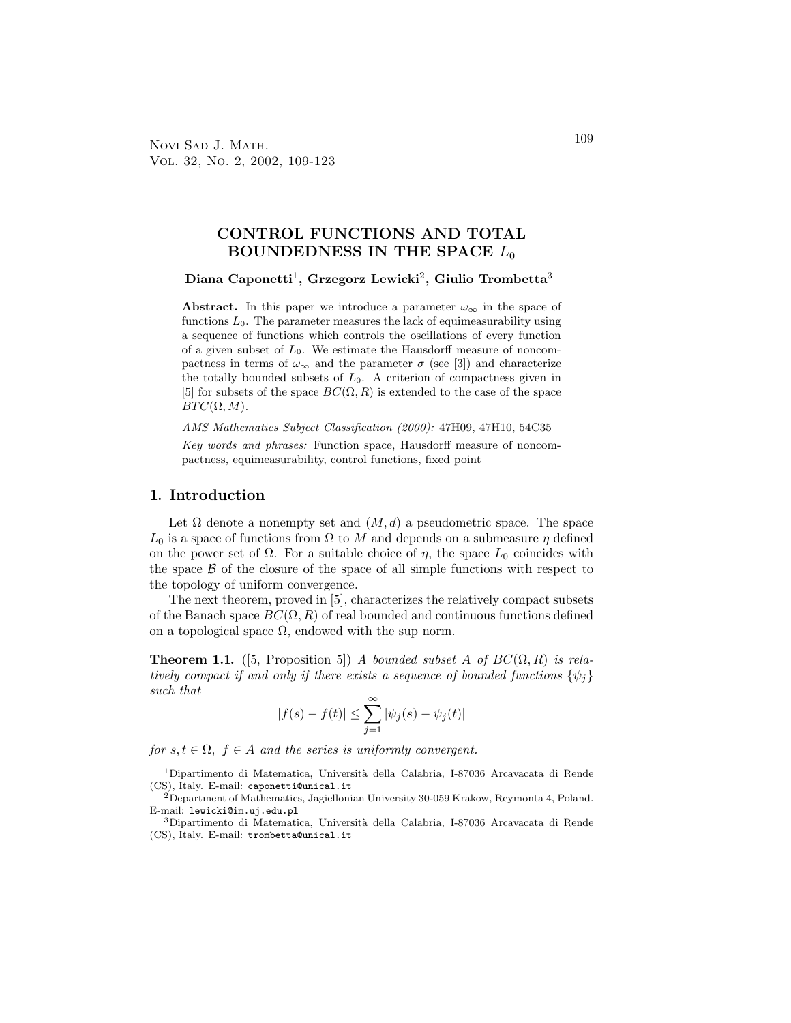Novi Sad J. Math. 2009 Vol. 32, No. 2, 2002, 109-123

# CONTROL FUNCTIONS AND TOTAL BOUNDEDNESS IN THE SPACE  $L_0$

### Diana Caponetti $^1$ , Grzegorz Lewicki $^2$ , Giulio Trombetta $^3$

Abstract. In this paper we introduce a parameter  $\omega_{\infty}$  in the space of functions  $L_0$ . The parameter measures the lack of equimeasurability using a sequence of functions which controls the oscillations of every function of a given subset of  $L_0$ . We estimate the Hausdorff measure of noncompactness in terms of  $\omega_{\infty}$  and the parameter  $\sigma$  (see [3]) and characterize the totally bounded subsets of  $L_0$ . A criterion of compactness given in [5] for subsets of the space  $BC(\Omega, R)$  is extended to the case of the space  $BTC(\Omega, M)$ .

AMS Mathematics Subject Classification (2000): 47H09, 47H10, 54C35

Key words and phrases: Function space, Hausdorff measure of noncompactness, equimeasurability, control functions, fixed point

### 1. Introduction

Let  $\Omega$  denote a nonempty set and  $(M, d)$  a pseudometric space. The space  $L_0$  is a space of functions from  $\Omega$  to M and depends on a submeasure  $\eta$  defined on the power set of  $\Omega$ . For a suitable choice of  $\eta$ , the space  $L_0$  coincides with the space  $\beta$  of the closure of the space of all simple functions with respect to the topology of uniform convergence.

The next theorem, proved in [5], characterizes the relatively compact subsets of the Banach space  $BC(\Omega, R)$  of real bounded and continuous functions defined on a topological space  $\Omega$ , endowed with the sup norm.

**Theorem 1.1.** ([5, Proposition 5]) A bounded subset A of  $BC(\Omega, R)$  is relatively compact if and only if there exists a sequence of bounded functions  $\{\psi_i\}$ such that

$$
|f(s) - f(t)| \le \sum_{j=1}^{\infty} |\psi_j(s) - \psi_j(t)|
$$

for  $s, t \in \Omega$ ,  $f \in A$  and the series is uniformly convergent.

 $^1$ Dipartimento di Matematica, Università della Calabria, I-87036 Arcavacata di Rende (CS), Italy. E-mail: caponetti@unical.it

<sup>2</sup>Department of Mathematics, Jagiellonian University 30-059 Krakow, Reymonta 4, Poland. E-mail: lewicki@im.uj.edu.pl

<sup>3</sup>Dipartimento di Matematica, Universit`a della Calabria, I-87036 Arcavacata di Rende (CS), Italy. E-mail: trombetta@unical.it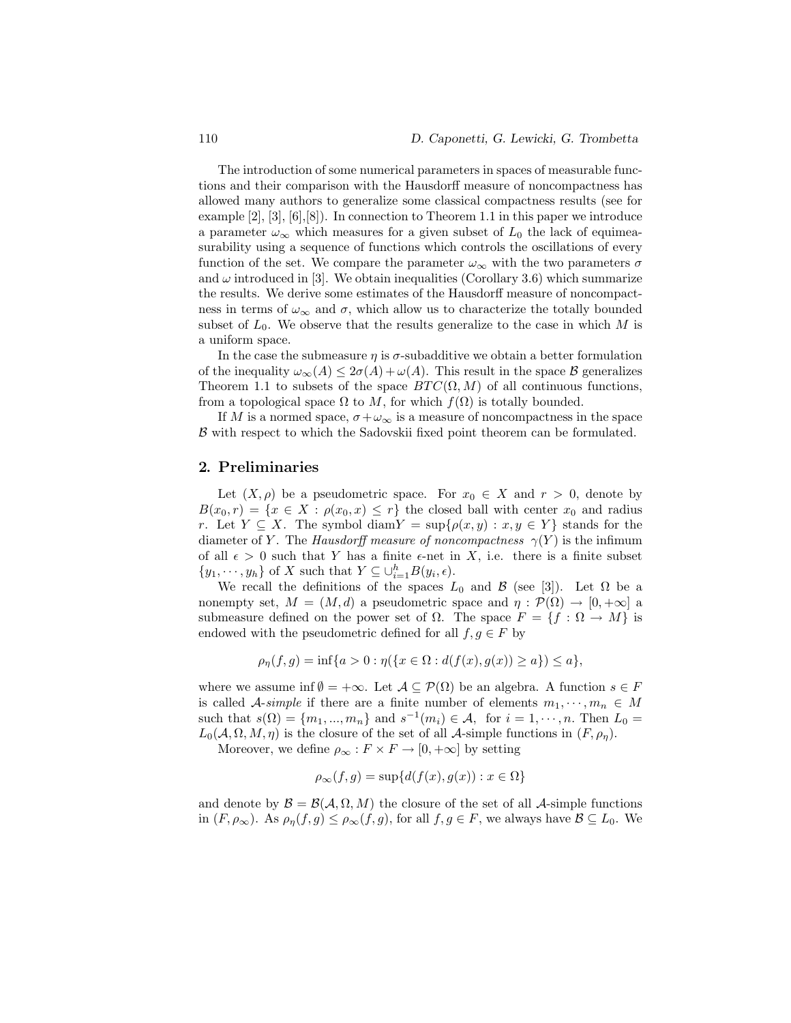The introduction of some numerical parameters in spaces of measurable functions and their comparison with the Hausdorff measure of noncompactness has allowed many authors to generalize some classical compactness results (see for example  $[2], [3], [6], [8]$ . In connection to Theorem 1.1 in this paper we introduce a parameter  $\omega_{\infty}$  which measures for a given subset of  $L_0$  the lack of equimeasurability using a sequence of functions which controls the oscillations of every function of the set. We compare the parameter  $\omega_{\infty}$  with the two parameters  $\sigma$ and  $\omega$  introduced in [3]. We obtain inequalities (Corollary 3.6) which summarize the results. We derive some estimates of the Hausdorff measure of noncompactness in terms of  $\omega_{\infty}$  and  $\sigma$ , which allow us to characterize the totally bounded subset of  $L_0$ . We observe that the results generalize to the case in which M is a uniform space.

In the case the submeasure  $\eta$  is  $\sigma$ -subadditive we obtain a better formulation of the inequality  $\omega_{\infty}(A) \leq 2\sigma(A) + \omega(A)$ . This result in the space  $\beta$  generalizes Theorem 1.1 to subsets of the space  $BTC(\Omega, M)$  of all continuous functions, from a topological space  $\Omega$  to M, for which  $f(\Omega)$  is totally bounded.

If M is a normed space,  $\sigma + \omega_{\infty}$  is a measure of noncompactness in the space B with respect to which the Sadovskii fixed point theorem can be formulated.

### 2. Preliminaries

Let  $(X, \rho)$  be a pseudometric space. For  $x_0 \in X$  and  $r > 0$ , denote by  $B(x_0, r) = \{x \in X : \rho(x_0, x) \leq r\}$  the closed ball with center  $x_0$  and radius r. Let  $Y \subseteq X$ . The symbol diam $Y = \sup\{\rho(x, y) : x, y \in Y\}$  stands for the diameter of Y. The Hausdorff measure of noncompactness  $\gamma(Y)$  is the infimum of all  $\epsilon > 0$  such that Y has a finite  $\epsilon$ -net in X, i.e. there is a finite subset  $\{y_1, \dots, y_h\}$  of X such that  $Y \subseteq \bigcup_{i=1}^h B(y_i, \epsilon)$ .

We recall the definitions of the spaces  $L_0$  and  $\beta$  (see [3]). Let  $\Omega$  be a nonempty set,  $M = (M, d)$  a pseudometric space and  $\eta : \mathcal{P}(\Omega) \to [0, +\infty]$  a submeasure defined on the power set of  $\Omega$ . The space  $F = \{f : \Omega \to M\}$  is endowed with the pseudometric defined for all  $f, g \in F$  by

$$
\rho_{\eta}(f,g) = \inf\{a > 0 : \eta(\{x \in \Omega : d(f(x), g(x)) \ge a\}) \le a\},\
$$

where we assume inf  $\emptyset = +\infty$ . Let  $\mathcal{A} \subseteq \mathcal{P}(\Omega)$  be an algebra. A function  $s \in F$ is called A-simple if there are a finite number of elements  $m_1, \dots, m_n \in M$ such that  $s(\Omega) = \{m_1, ..., m_n\}$  and  $s^{-1}(m_i) \in A$ , for  $i = 1, ..., n$ . Then  $L_0 =$  $L_0(\mathcal{A}, \Omega, M, \eta)$  is the closure of the set of all  $\mathcal{A}$ -simple functions in  $(F, \rho_n)$ .

Moreover, we define  $\rho_{\infty}: F \times F \to [0, +\infty]$  by setting

$$
\rho_{\infty}(f,g) = \sup \{ d(f(x), g(x)) : x \in \Omega \}
$$

and denote by  $\mathcal{B} = \mathcal{B}(\mathcal{A}, \Omega, M)$  the closure of the set of all  $\mathcal{A}$ -simple functions in  $(F, \rho_{\infty})$ . As  $\rho_{\eta}(f,g) \leq \rho_{\infty}(f,g)$ , for all  $f,g \in F$ , we always have  $\mathcal{B} \subseteq L_0$ . We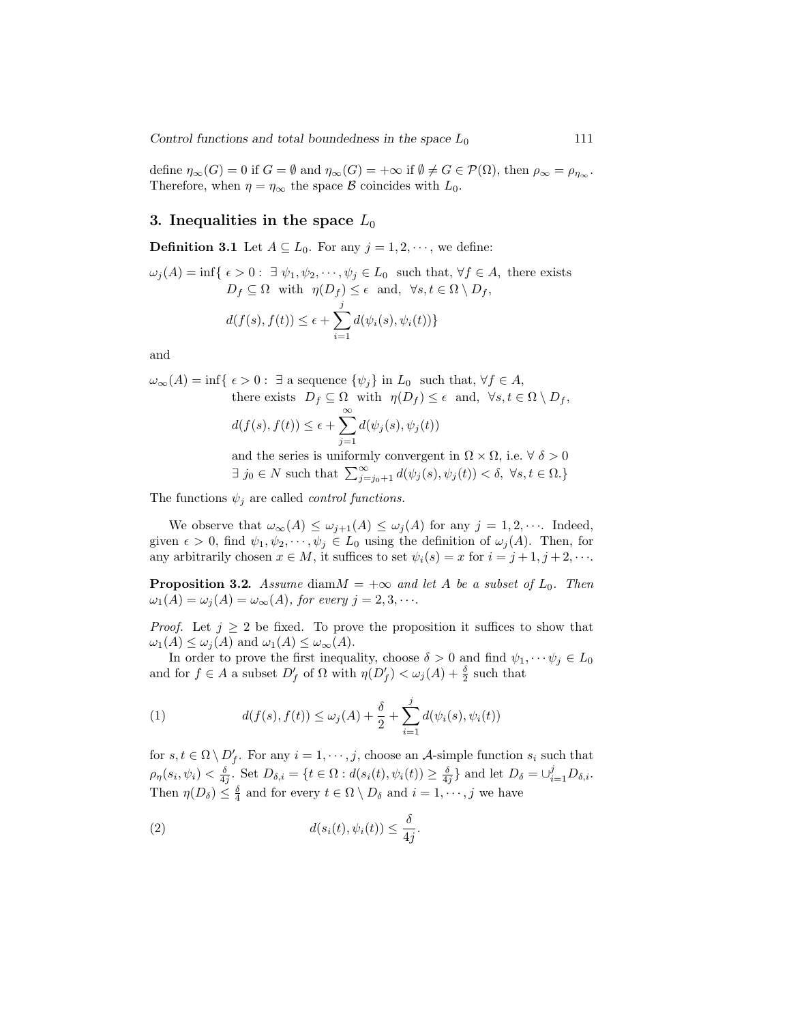Control functions and total boundedness in the space  $L_0$  111

define  $\eta_{\infty}(G) = 0$  if  $G = \emptyset$  and  $\eta_{\infty}(G) = +\infty$  if  $\emptyset \neq G \in \mathcal{P}(\Omega)$ , then  $\rho_{\infty} = \rho_{\eta_{\infty}}$ . Therefore, when  $\eta = \eta_{\infty}$  the space  $\beta$  coincides with  $L_0$ .

## 3. Inequalities in the space  $L_0$

**Definition 3.1** Let  $A \subseteq L_0$ . For any  $j = 1, 2, \dots$ , we define:

 $\omega_i(A) = \inf \{ \epsilon > 0 : \exists \psi_1, \psi_2, \cdots, \psi_i \in L_0 \text{ such that, } \forall f \in A, \text{ there exists }$  $D_f \subseteq \Omega$  with  $\eta(D_f) \leq \epsilon$  and,  $\forall s, t \in \Omega \setminus D_f$ ,  $d(f(s), f(t)) \leq \epsilon +$  $\frac{j}{\sqrt{2}}$  $i=1$  $d(\psi_i(s), \psi_i(t))\}$ 

and

 $\omega_{\infty}(A) = \inf \{ \epsilon > 0 : \exists \text{ a sequence } \{ \psi_j \} \text{ in } L_0 \text{ such that, } \forall f \in A,$ there exists  $D_f \subseteq \Omega$  with  $\eta(D_f) \leq \epsilon$  and,  $\forall s, t \in \Omega \setminus D_f$ ,

$$
d(f(s), f(t)) \le \epsilon + \sum_{j=1}^{\infty} d(\psi_j(s), \psi_j(t))
$$

and the series is uniformly convergent in  $\Omega \times \Omega$ , i.e.  $\forall \delta > 0$  $\exists j_0 \in N$  such that  $\sum_{j=j_0+1}^{\infty} d(\psi_j(s), \psi_j(t)) < \delta, \forall s, t \in \Omega.$ 

The functions  $\psi_j$  are called *control functions*.

We observe that  $\omega_{\infty}(A) \leq \omega_{j+1}(A) \leq \omega_j(A)$  for any  $j = 1, 2, \cdots$ . Indeed, given  $\epsilon > 0$ , find  $\psi_1, \psi_2, \cdots, \psi_j \in L_0$  using the definition of  $\omega_j(A)$ . Then, for any arbitrarily chosen  $x \in M$ , it suffices to set  $\psi_i(s) = x$  for  $i = j + 1, j + 2, \cdots$ .

**Proposition 3.2.** Assume diam $M = +\infty$  and let A be a subset of  $L_0$ . Then  $\omega_1(A) = \omega_i(A) = \omega_\infty(A)$ , for every  $j = 2, 3, \cdots$ .

*Proof.* Let  $j \geq 2$  be fixed. To prove the proposition it suffices to show that  $\omega_1(A) \leq \omega_i(A)$  and  $\omega_1(A) \leq \omega_{\infty}(A)$ .

In order to prove the first inequality, choose  $\delta > 0$  and find  $\psi_1, \dots \psi_j \in L_0$ and for  $f \in A$  a subset  $D'_f$  of  $\Omega$  with  $\eta(D'_f) < \omega_j(A) + \frac{\delta}{2}$  such that

(1) 
$$
d(f(s), f(t)) \leq \omega_j(A) + \frac{\delta}{2} + \sum_{i=1}^j d(\psi_i(s), \psi_i(t))
$$

for  $s, t \in \Omega \setminus D'_f$ . For any  $i = 1, \dots, j$ , choose an A-simple function  $s_i$  such that  $\rho_{\eta}(s_i, \psi_i) < \frac{\delta}{4j}$ . Set  $D_{\delta,i} = \{t \in \Omega : d(s_i(t), \psi_i(t)) \geq \frac{\delta}{4j}\}\$ and let  $D_{\delta} = \bigcup_{i=1}^j D_{\delta,i}$ . Then  $\eta(D_{\delta}) \leq \frac{\delta}{4}$  and for every  $t \in \Omega \setminus D_{\delta}$  and  $i = 1, \dots, j$  we have

(2) 
$$
d(s_i(t), \psi_i(t)) \leq \frac{\delta}{4j}.
$$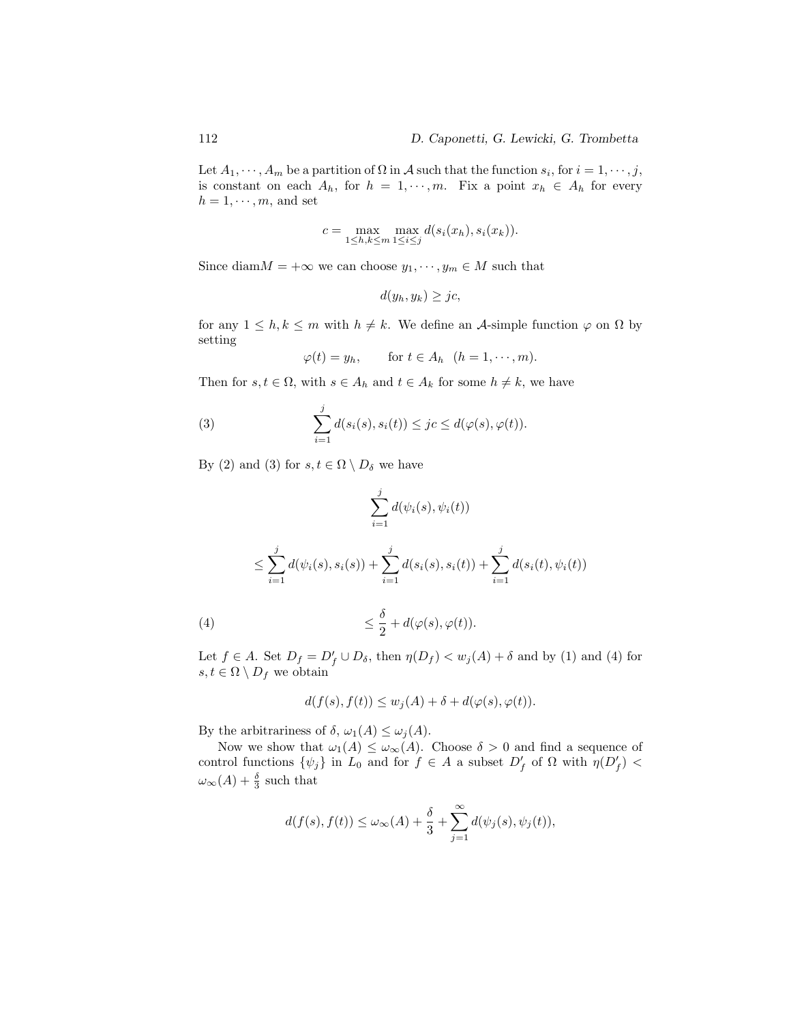Let  $A_1, \dots, A_m$  be a partition of  $\Omega$  in  $\mathcal A$  such that the function  $s_i$ , for  $i = 1, \dots, j$ , is constant on each  $A_h$ , for  $h = 1, \dots, m$ . Fix a point  $x_h \in A_h$  for every  $h = 1, \dots, m$ , and set

$$
c = \max_{1 \leq h,k \leq m} \max_{1 \leq i \leq j} d(s_i(x_h), s_i(x_k)).
$$

Since diam $M = +\infty$  we can choose  $y_1, \dots, y_m \in M$  such that

$$
d(y_h, y_k) \geq jc,
$$

for any  $1 \leq h, k \leq m$  with  $h \neq k$ . We define an A-simple function  $\varphi$  on  $\Omega$  by setting

$$
\varphi(t) = y_h, \quad \text{for } t \in A_h \ \ (h = 1, \cdots, m).
$$

Then for  $s, t \in \Omega$ , with  $s \in A_h$  and  $t \in A_k$  for some  $h \neq k$ , we have

(3) 
$$
\sum_{i=1}^{j} d(s_i(s), s_i(t)) \leq jc \leq d(\varphi(s), \varphi(t)).
$$

By (2) and (3) for  $s, t \in \Omega \setminus D_{\delta}$  we have

X j i=1 d(ψi(s), ψi(t)) ≤ X j i=1 <sup>d</sup>(ψi(s), si(s)) +<sup>X</sup> j i=1 <sup>d</sup>(si(s), si(t)) +<sup>X</sup> j i=1 d(si(t), ψi(t)) δ

Let 
$$
f \in A
$$
. Set  $D_f = D'_f \cup D_\delta$ , then  $\eta(D_f) < w_j(A) + \delta$  and by (1) and (4) for  $s, t \in \Omega \setminus D_f$  we obtain

$$
d(f(s), f(t)) \le w_j(A) + \delta + d(\varphi(s), \varphi(t)).
$$

 $\frac{\sigma}{2}+d(\varphi(s),\varphi(t)).$ 

By the arbitrariness of  $\delta$ ,  $\omega_1(A) \leq \omega_j(A)$ .

 $(4) \leq$ 

Now we show that  $\omega_1(A) \leq \omega_{\infty}(A)$ . Choose  $\delta > 0$  and find a sequence of control functions  $\{\psi_j\}$  in  $L_0$  and for  $f \in A$  a subset  $D'_f$  of  $\Omega$  with  $\eta(D'_f)$  <  $\omega_{\infty}(A) + \frac{\delta}{3}$  such that

$$
d(f(s), f(t)) \le \omega_{\infty}(A) + \frac{\delta}{3} + \sum_{j=1}^{\infty} d(\psi_j(s), \psi_j(t)),
$$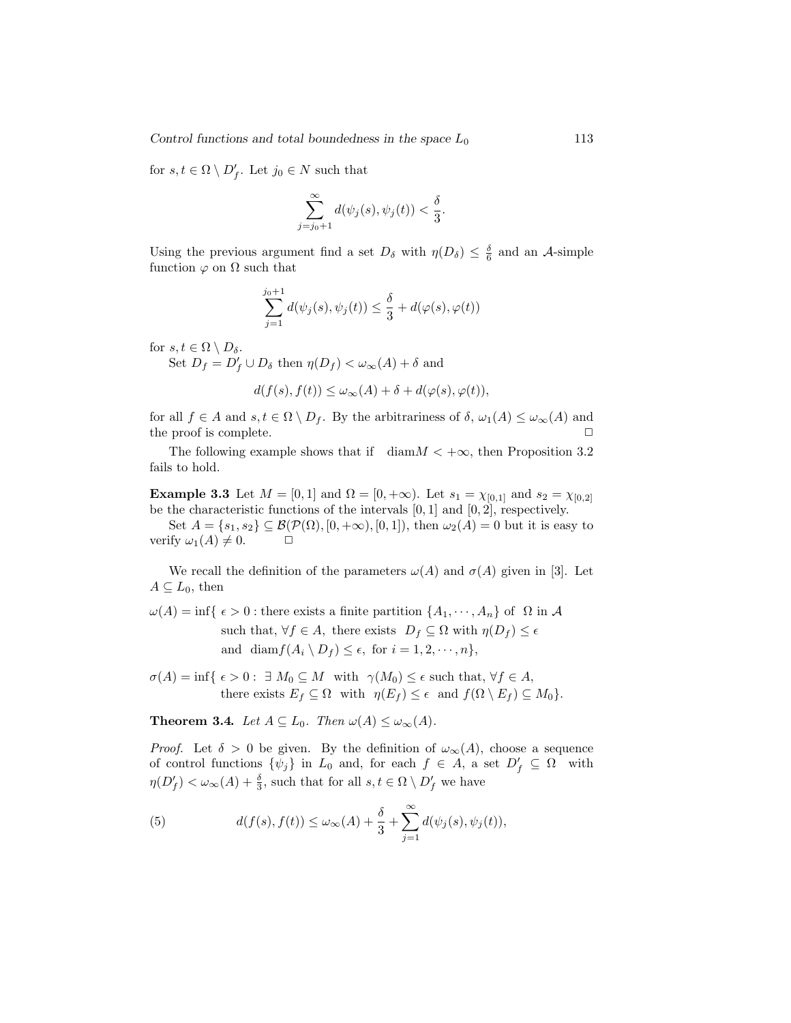for  $s, t \in \Omega \setminus D'_f$ . Let  $j_0 \in N$  such that

$$
\sum_{j=j_0+1}^{\infty} d(\psi_j(s), \psi_j(t)) < \frac{\delta}{3}.
$$

Using the previous argument find a set  $D_{\delta}$  with  $\eta(D_{\delta}) \leq \frac{\delta}{6}$  and an A-simple function  $\varphi$  on  $\Omega$  such that

$$
\sum_{j=1}^{j_0+1} d(\psi_j(s), \psi_j(t)) \le \frac{\delta}{3} + d(\varphi(s), \varphi(t))
$$

for  $s, t \in \Omega \setminus D_{\delta}$ .

Set  $D_f = D'_f \cup D_\delta$  then  $\eta(D_f) < \omega_\infty(A) + \delta$  and

$$
d(f(s), f(t)) \le \omega_{\infty}(A) + \delta + d(\varphi(s), \varphi(t)),
$$

for all  $f \in A$  and  $s, t \in \Omega \setminus D_f$ . By the arbitrariness of  $\delta$ ,  $\omega_1(A) \leq \omega_{\infty}(A)$  and the proof is complete.  $\Box$ 

The following example shows that if  $\dim M < +\infty$ , then Proposition 3.2 fails to hold.

**Example 3.3** Let  $M = [0, 1]$  and  $\Omega = [0, +\infty)$ . Let  $s_1 = \chi_{[0,1]}$  and  $s_2 = \chi_{[0,2]}$ be the characteristic functions of the intervals  $[0, 1]$  and  $[0, 2]$ , respectively.

Set  $A = \{s_1, s_2\} \subseteq \mathcal{B}(\mathcal{P}(\Omega), [0, +\infty), [0, 1])$ , then  $\omega_2(A) = 0$  but it is easy to verify  $\omega_1(A) \neq 0$ .  $\Box$ 

We recall the definition of the parameters  $\omega(A)$  and  $\sigma(A)$  given in [3]. Let  $A \subseteq L_0$ , then

 $\omega(A) = \inf \{ \epsilon > 0 : \text{there exists a finite partition } \{A_1, \dots, A_n\} \text{ of } \Omega \text{ in } A \}$ such that,  $\forall f \in A$ , there exists  $D_f \subseteq \Omega$  with  $\eta(D_f) \leq \epsilon$ and diam $f(A_i \setminus D_f) \leq \epsilon$ , for  $i = 1, 2, \dots, n$ ,

 $\sigma(A) = \inf \{ \epsilon > 0 : \exists M_0 \subseteq M \text{ with } \gamma(M_0) \leq \epsilon \text{ such that, } \forall f \in A,$ there exists  $E_f \subseteq \Omega$  with  $\eta(E_f) \leq \epsilon$  and  $f(\Omega \setminus E_f) \subseteq M_0$ .

**Theorem 3.4.** Let  $A \subseteq L_0$ . Then  $\omega(A) \leq \omega_{\infty}(A)$ .

*Proof.* Let  $\delta > 0$  be given. By the definition of  $\omega_{\infty}(A)$ , choose a sequence of control functions  $\{\psi_j\}$  in  $L_0$  and, for each  $f \in A$ , a set  $D'_f \subseteq \Omega$  with  $\eta(D_f') < \omega_\infty(A) + \frac{\delta}{3}$ , such that for all  $s, t \in \Omega \setminus D_f'$  we have

(5) 
$$
d(f(s), f(t)) \leq \omega_{\infty}(A) + \frac{\delta}{3} + \sum_{j=1}^{\infty} d(\psi_j(s), \psi_j(t)),
$$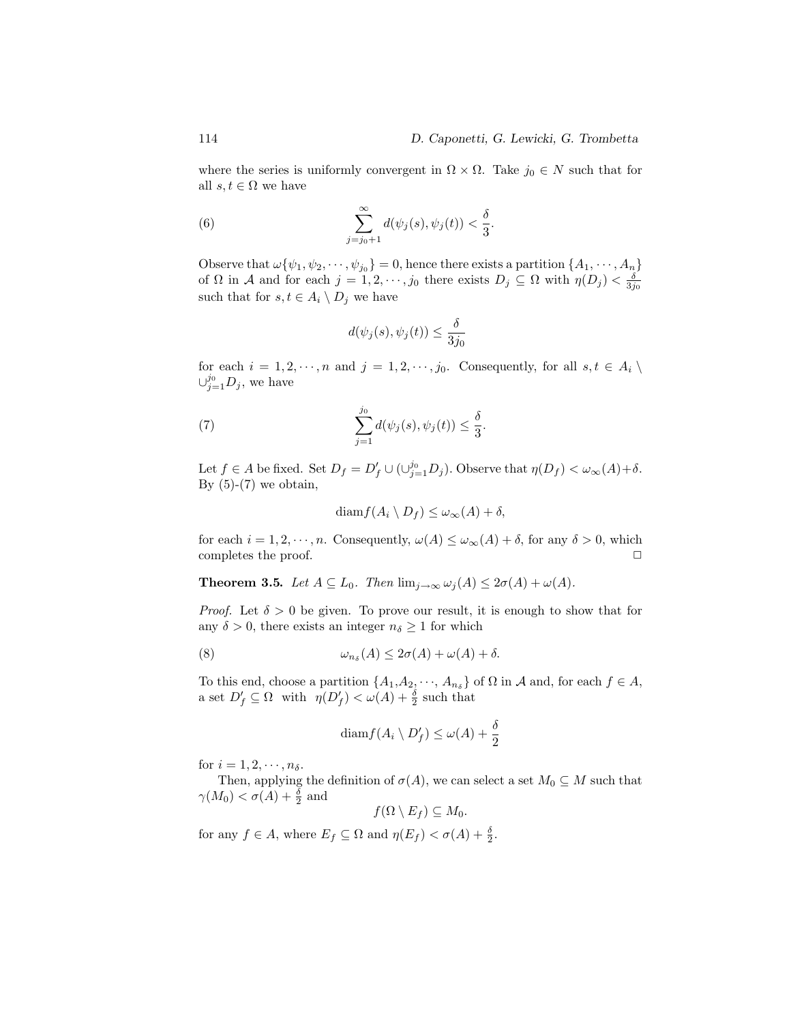.

where the series is uniformly convergent in  $\Omega \times \Omega$ . Take  $j_0 \in N$  such that for all  $s, t \in \Omega$  we have

(6) 
$$
\sum_{j=j_0+1}^{\infty} d(\psi_j(s), \psi_j(t)) < \frac{\delta}{3}
$$

Observe that  $\omega\{\psi_1, \psi_2, \cdots, \psi_{j_0}\} = 0$ , hence there exists a partition  $\{A_1, \cdots, A_n\}$ of  $\Omega$  in A and for each  $j = 1, 2, \dots, j_0$  there exists  $D_j \subseteq \Omega$  with  $\eta(D_j) < \frac{\delta}{3j_0}$ such that for  $s, t \in A_i \setminus D_j$  we have

$$
d(\psi_j(s), \psi_j(t)) \le \frac{\delta}{3j_0}
$$

for each  $i = 1, 2, \dots, n$  and  $j = 1, 2, \dots, j_0$ . Consequently, for all  $s, t \in A_i \setminus I$  $\cup_{j=1}^{j_0} D_j$ , we have

(7) 
$$
\sum_{j=1}^{j_0} d(\psi_j(s), \psi_j(t)) \leq \frac{\delta}{3}.
$$

Let  $f \in A$  be fixed. Set  $D_f = D'_f \cup (\cup_{j=1}^{j_0} D_j)$ . Observe that  $\eta(D_f) < \omega_{\infty}(A) + \delta$ . By  $(5)-(7)$  we obtain,

$$
\text{diam} f(A_i \setminus D_f) \le \omega_\infty(A) + \delta,
$$

for each  $i = 1, 2, \dots, n$ . Consequently,  $\omega(A) \leq \omega_{\infty}(A) + \delta$ , for any  $\delta > 0$ , which completes the proof.  $\Box$ 

**Theorem 3.5.** Let  $A \subseteq L_0$ . Then  $\lim_{j \to \infty} \omega_j(A) \leq 2\sigma(A) + \omega(A)$ .

*Proof.* Let  $\delta > 0$  be given. To prove our result, it is enough to show that for any  $\delta > 0$ , there exists an integer  $n_{\delta} \geq 1$  for which

(8) 
$$
\omega_{n\delta}(A) \leq 2\sigma(A) + \omega(A) + \delta.
$$

To this end, choose a partition  $\{A_1, A_2, \dots, A_{n_\delta}\}$  of  $\Omega$  in  $\mathcal A$  and, for each  $f \in A$ , a set  $D'_f \subseteq \Omega$  with  $\eta(D'_f) < \omega(A) + \frac{\delta}{2}$  such that

$$
\text{diam} f(A_i \setminus D'_f) \le \omega(A) + \frac{\delta}{2}
$$

for  $i = 1, 2, \dots, n_{\delta}$ .

Then, applying the definition of  $\sigma(A)$ , we can select a set  $M_0 \subseteq M$  such that  $\gamma(M_0) < \sigma(A) + \frac{\delta}{2}$  and

$$
f(\Omega \setminus E_f) \subseteq M_0.
$$

for any  $f \in A$ , where  $E_f \subseteq \Omega$  and  $\eta(E_f) < \sigma(A) + \frac{\delta}{2}$ .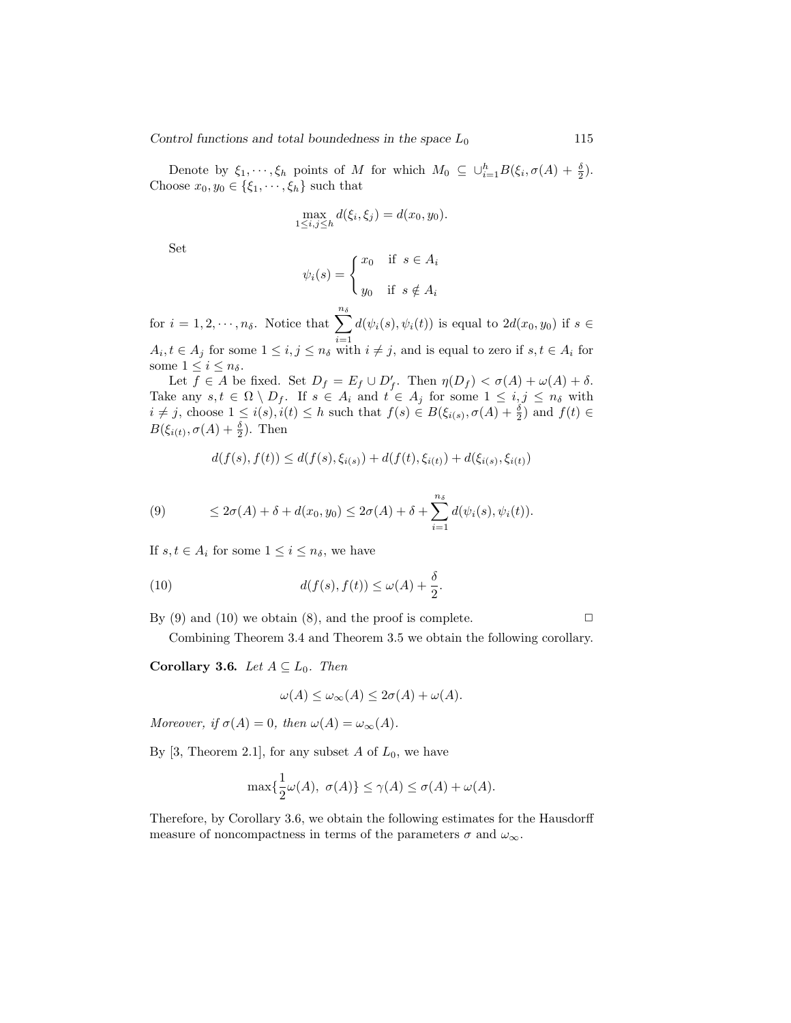Control functions and total boundedness in the space  $L_0$  115

Denote by  $\xi_1, \dots, \xi_h$  points of M for which  $M_0 \subseteq \bigcup_{i=1}^h B(\xi_i, \sigma(A) + \frac{\delta}{2}).$ Choose  $x_0, y_0 \in \{\xi_1, \dots, \xi_h\}$  such that

$$
\max_{1 \le i,j \le h} d(\xi_i, \xi_j) = d(x_0, y_0).
$$

Set

$$
\psi_i(s) = \begin{cases} x_0 & \text{if } s \in A_i \\ y_0 & \text{if } s \notin A_i \end{cases}
$$

for  $i = 1, 2, \dots, n_{\delta}$ . Notice that  $\sum_{n=1}^{n_{\delta}}$  $i=1$  $d(\psi_i(s), \psi_i(t))$  is equal to  $2d(x_0, y_0)$  if  $s \in$  $A_i, t \in A_j$  for some  $1 \leq i, j \leq n_\delta$  with  $i \neq j$ , and is equal to zero if  $s, t \in A_i$  for

some  $1 \leq i \leq n_{\delta}$ . Let  $f \in A$  be fixed. Set  $D_f = E_f \cup D'_f$ . Then  $\eta(D_f) < \sigma(A) + \omega(A) + \delta$ .

Take any  $s, t \in \Omega \setminus D_f$ . If  $s \in A_i$  and  $t \in A_j$  for some  $1 \leq i, j \leq n_\delta$  with  $i \neq j$ , choose  $1 \leq i(s), i(t) \leq h$  such that  $f(s) \in B(\xi_{i(s)}, \sigma(A) + \frac{\delta}{2})$  and  $f(t) \in$  $B(\xi_{i(t)}, \sigma(A) + \frac{\delta}{2})$ . Then

$$
d(f(s), f(t)) \le d(f(s), \xi_{i(s)}) + d(f(t), \xi_{i(t)}) + d(\xi_{i(s)}, \xi_{i(t)})
$$

(9) 
$$
\leq 2\sigma(A) + \delta + d(x_0, y_0) \leq 2\sigma(A) + \delta + \sum_{i=1}^{n_{\delta}} d(\psi_i(s), \psi_i(t)).
$$

If  $s, t \in A_i$  for some  $1 \leq i \leq n_\delta$ , we have

(10) 
$$
d(f(s), f(t)) \le \omega(A) + \frac{\delta}{2}.
$$

By (9) and (10) we obtain (8), and the proof is complete.  $\Box$ 

Combining Theorem 3.4 and Theorem 3.5 we obtain the following corollary.

Corollary 3.6. Let  $A \subseteq L_0$ . Then

$$
\omega(A) \le \omega_{\infty}(A) \le 2\sigma(A) + \omega(A).
$$

Moreover, if  $\sigma(A) = 0$ , then  $\omega(A) = \omega_{\infty}(A)$ .

By [3, Theorem 2.1], for any subset  $A$  of  $L_0$ , we have

$$
\max\{\frac{1}{2}\omega(A), \ \sigma(A)\} \le \gamma(A) \le \sigma(A) + \omega(A).
$$

Therefore, by Corollary 3.6, we obtain the following estimates for the Hausdorff measure of noncompactness in terms of the parameters  $\sigma$  and  $\omega_{\infty}$ .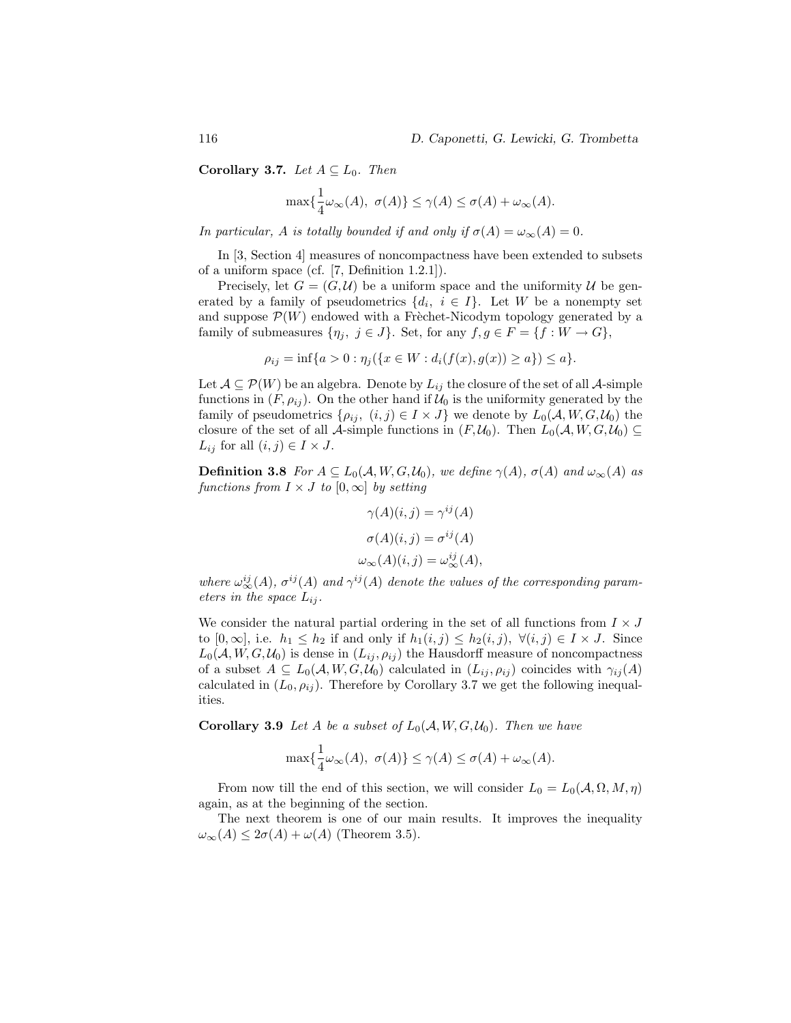Corollary 3.7. Let  $A \subseteq L_0$ . Then

$$
\max\{\frac{1}{4}\omega_{\infty}(A), \ \sigma(A)\} \leq \gamma(A) \leq \sigma(A) + \omega_{\infty}(A).
$$

In particular, A is totally bounded if and only if  $\sigma(A) = \omega_{\infty}(A) = 0$ .

In [3, Section 4] measures of noncompactness have been extended to subsets of a uniform space (cf. [7, Definition 1.2.1]).

Precisely, let  $G = (G, \mathcal{U})$  be a uniform space and the uniformity  $\mathcal{U}$  be generated by a family of pseudometrics  $\{d_i, i \in I\}$ . Let W be a nonempty set and suppose  $\mathcal{P}(W)$  endowed with a Freechet-Nicodym topology generated by a family of submeasures  $\{\eta_i, j \in J\}$ . Set, for any  $f, g \in F = \{f : W \to G\},\$ 

$$
\rho_{ij} = \inf\{a > 0 : \eta_j(\{x \in W : d_i(f(x), g(x)) \ge a\}) \le a\}.
$$

Let  $A \subseteq \mathcal{P}(W)$  be an algebra. Denote by  $L_{ij}$  the closure of the set of all A-simple functions in  $(F, \rho_{ij})$ . On the other hand if  $\mathcal{U}_0$  is the uniformity generated by the family of pseudometrics  $\{\rho_{ij}, (i,j) \in I \times J\}$  we denote by  $L_0(\mathcal{A}, W, G, \mathcal{U}_0)$  the closure of the set of all A-simple functions in  $(F, \mathcal{U}_0)$ . Then  $L_0(\mathcal{A}, W, G, \mathcal{U}_0) \subseteq$  $L_{ij}$  for all  $(i, j) \in I \times J$ .

**Definition 3.8** For  $A \subseteq L_0(\mathcal{A}, W, G, \mathcal{U}_0)$ , we define  $\gamma(A)$ ,  $\sigma(A)$  and  $\omega_\infty(A)$  as functions from  $I \times J$  to  $[0,\infty]$  by setting

$$
\gamma(A)(i,j) = \gamma^{ij}(A)
$$

$$
\sigma(A)(i,j) = \sigma^{ij}(A)
$$

$$
\omega_{\infty}(A)(i,j) = \omega_{\infty}^{ij}(A),
$$

where  $\omega_{\infty}^{ij}(A)$ ,  $\sigma^{ij}(A)$  and  $\gamma^{ij}(A)$  denote the values of the corresponding parameters in the space  $L_{ij}$ .

We consider the natural partial ordering in the set of all functions from  $I \times J$ to  $[0,\infty]$ , i.e.  $h_1 \leq h_2$  if and only if  $h_1(i,j) \leq h_2(i,j)$ ,  $\forall (i,j) \in I \times J$ . Since  $L_0(\mathcal{A}, W, G, \mathcal{U}_0)$  is dense in  $(L_{ij}, \rho_{ij})$  the Hausdorff measure of noncompactness of a subset  $A \subseteq L_0(\mathcal{A}, W, G, \mathcal{U}_0)$  calculated in  $(L_{ij}, \rho_{ij})$  coincides with  $\gamma_{ij}(A)$ calculated in  $(L_0, \rho_{ij})$ . Therefore by Corollary 3.7 we get the following inequalities.

**Corollary 3.9** Let A be a subset of  $L_0(A, W, G, \mathcal{U}_0)$ . Then we have

$$
\max\{\frac{1}{4}\omega_{\infty}(A), \ \sigma(A)\} \leq \gamma(A) \leq \sigma(A) + \omega_{\infty}(A).
$$

From now till the end of this section, we will consider  $L_0 = L_0(\mathcal{A}, \Omega, M, \eta)$ again, as at the beginning of the section.

The next theorem is one of our main results. It improves the inequality  $\omega_{\infty}(A) \leq 2\sigma(A) + \omega(A)$  (Theorem 3.5).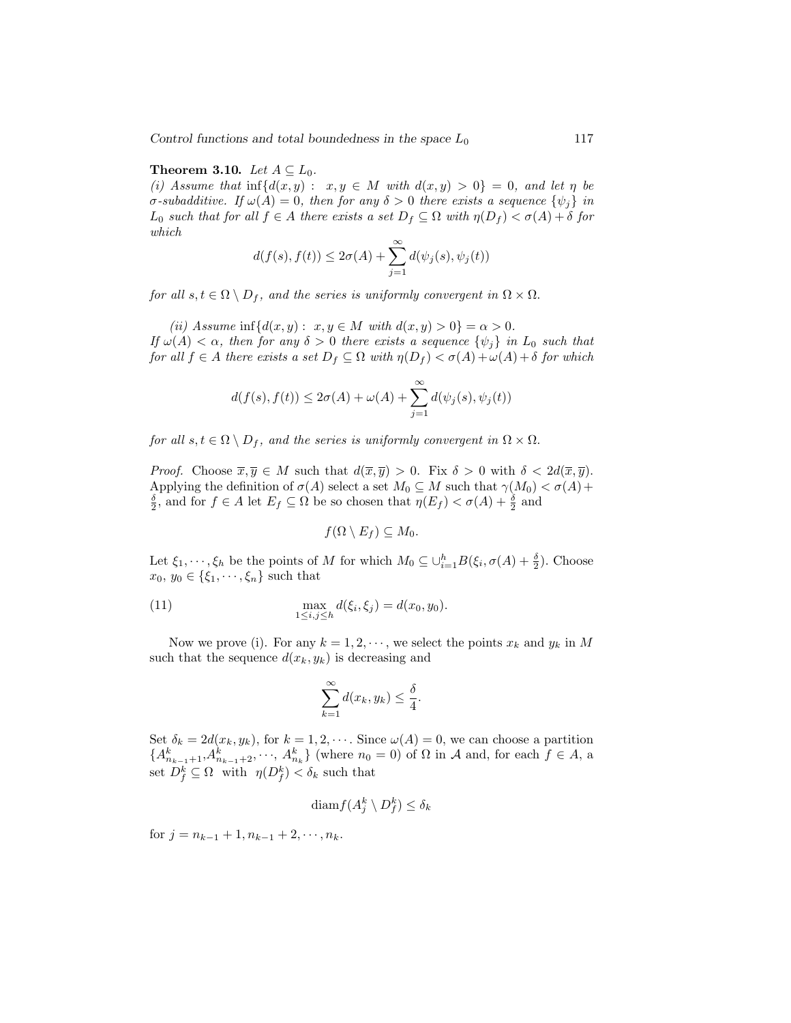Control functions and total boundedness in the space  $L_0$  117

#### Theorem 3.10. Let  $A \subseteq L_0$ .

(i) Assume that  $\inf\{d(x,y): x,y \in M \text{ with } d(x,y) > 0\} = 0$ , and let  $\eta$  be σ-subadditive. If  $\omega(A) = 0$ , then for any  $\delta > 0$  there exists a sequence  $\{\psi_i\}$  in  $L_0$  such that for all  $f \in A$  there exists a set  $D_f \subseteq \Omega$  with  $\eta(D_f) < \sigma(A) + \delta$  for which

$$
d(f(s), f(t)) \le 2\sigma(A) + \sum_{j=1}^{\infty} d(\psi_j(s), \psi_j(t))
$$

for all  $s, t \in \Omega \setminus D_f$ , and the series is uniformly convergent in  $\Omega \times \Omega$ .

(ii) Assume  $\inf \{ d(x, y) : x, y \in M \text{ with } d(x, y) > 0 \} = \alpha > 0.$ If  $\omega(A) < \alpha$ , then for any  $\delta > 0$  there exists a sequence  $\{\psi_i\}$  in  $L_0$  such that for all  $f \in A$  there exists a set  $D_f \subseteq \Omega$  with  $\eta(D_f) < \sigma(A) + \omega(A) + \delta$  for which

$$
d(f(s), f(t)) \le 2\sigma(A) + \omega(A) + \sum_{j=1}^{\infty} d(\psi_j(s), \psi_j(t))
$$

for all  $s, t \in \Omega \setminus D_f$ , and the series is uniformly convergent in  $\Omega \times \Omega$ .

*Proof.* Choose  $\overline{x}, \overline{y} \in M$  such that  $d(\overline{x}, \overline{y}) > 0$ . Fix  $\delta > 0$  with  $\delta < 2d(\overline{x}, \overline{y})$ . Applying the definition of  $\sigma(A)$  select a set  $M_0 \subseteq M$  such that  $\gamma(M_0) < \sigma(A)$  +  $\frac{\delta}{2}$ , and for  $f \in A$  let  $E_f \subseteq \Omega$  be so chosen that  $\eta(E_f) < \sigma(A) + \frac{\delta}{2}$  and

$$
f(\Omega \setminus E_f) \subseteq M_0.
$$

Let  $\xi_1, \dots, \xi_h$  be the points of M for which  $M_0 \subseteq \bigcup_{i=1}^h B(\xi_i, \sigma(A) + \frac{\delta}{2})$ . Choose  $x_0, y_0 \in {\xi_1, \dots, \xi_n}$  such that

(11) 
$$
\max_{1 \le i,j \le h} d(\xi_i, \xi_j) = d(x_0, y_0).
$$

Now we prove (i). For any  $k = 1, 2, \dots$ , we select the points  $x_k$  and  $y_k$  in M such that the sequence  $d(x_k, y_k)$  is decreasing and

$$
\sum_{k=1}^{\infty} d(x_k, y_k) \le \frac{\delta}{4}.
$$

Set  $\delta_k = 2d(x_k, y_k)$ , for  $k = 1, 2, \cdots$ . Since  $\omega(A) = 0$ , we can choose a partition  ${A_{n_{k-1}+1}^k, A_{n_{k-1}+2}^k, \dots, A_{n_k}^k}$  (where  $n_0 = 0$ ) of  $\Omega$  in A and, for each  $f \in A$ , a set  $D_f^k \subseteq \Omega$  with  $\eta(D_f^k) < \delta_k$  such that

$$
\text{diam} f(A_j^k \setminus D_f^k) \le \delta_k
$$

for  $j = n_{k-1} + 1, n_{k-1} + 2, \cdots, n_k$ .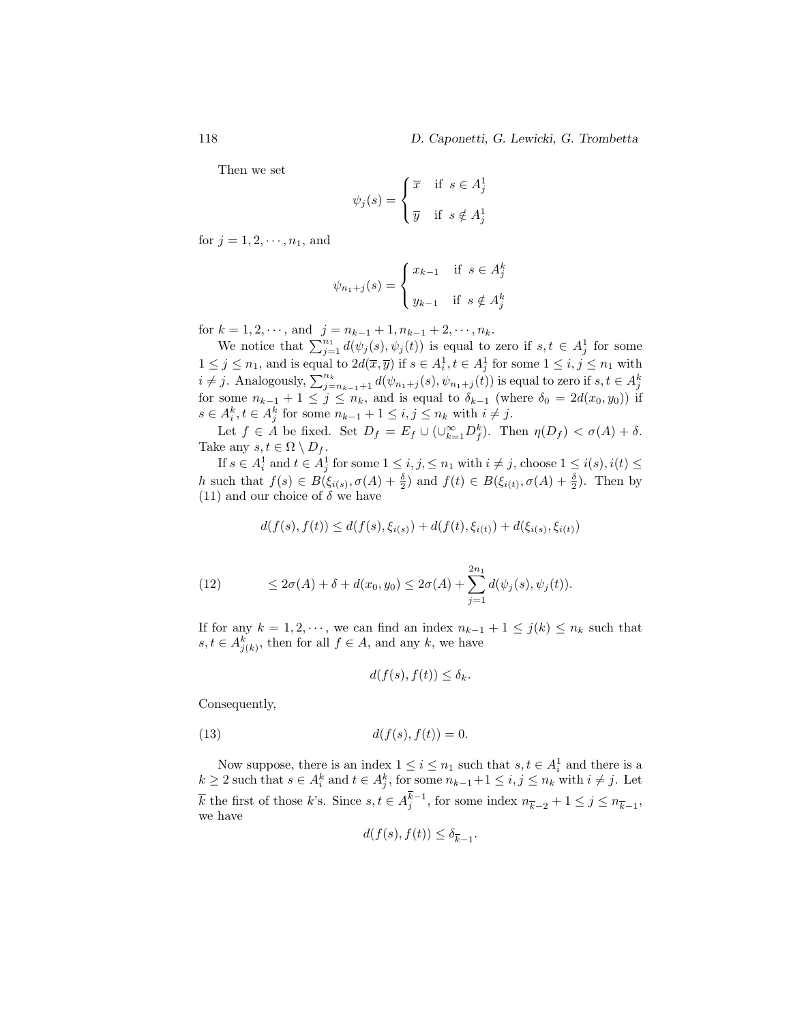Then we set

$$
\psi_j(s) = \begin{cases} \overline{x} & \text{if } s \in A_j^1 \\ \overline{y} & \text{if } s \notin A_j^1 \end{cases}
$$

for  $j = 1, 2, \dots, n_1$ , and

$$
\psi_{n_1+j}(s) = \begin{cases} x_{k-1} & \text{if } s \in A_j^k \\ y_{k-1} & \text{if } s \notin A_j^k \end{cases}
$$

for  $k = 1, 2, \dots$ , and  $j = n_{k-1} + 1, n_{k-1} + 2, \dots, n_k$ .

 $k = 1, 2, \dots$ , and  $j = n_{k-1} + 1, n_{k-1} + 2, \dots, n_k$ .<br>We notice that  $\sum_{j=1}^{n_1} d(\psi_j(s), \psi_j(t))$  is equal to zero if  $s, t \in A_j^1$  for some  $1 \leq j \leq n_1$ , and is equal to  $2d(\overline{x}, \overline{y})$  if  $s \in A_i^1, t \in A_j^1$  for some  $1 \leq i, j \leq n_1$  with  $i \neq j$ . Analogously,  $\sum_{j=n_{k-1}+1}^{n_k} d(\psi_{n_1+j}(s), \psi_{n_1+j}(t))$  is equal to zero if  $s, t \in A_j^k$ for some  $n_{k-1} + 1 \leq j \leq n_k$ , and is equal to  $\delta_{k-1}$  (where  $\delta_0 = 2d(x_0, y_0)$ ) if  $s \in A_i^k, t \in A_j^k$  for some  $n_{k-1} + 1 \leq i, j \leq n_k$  with  $i \neq j$ .

Let  $f \in A$  be fixed. Set  $D_f = E_f \cup (\cup_{k=1}^{\infty} D_f^k)$ . Then  $\eta(D_f) < \sigma(A) + \delta$ . Take any  $s, t \in \Omega \setminus D_f$ .

If  $s \in A_i^1$  and  $t \in A_j^1$  for some  $1 \leq i, j, \leq n_1$  with  $i \neq j$ , choose  $1 \leq i(s), i(t) \leq j$ h such that  $f(s) \in B(\xi_{i(s)}, \sigma(A) + \frac{\delta}{2})$  and  $f(t) \in B(\xi_{i(t)}, \sigma(A) + \frac{\delta}{2})$ . Then by (11) and our choice of  $\delta$  we have

$$
d(f(s), f(t)) \le d(f(s), \xi_{i(s)}) + d(f(t), \xi_{i(t)}) + d(\xi_{i(s)}, \xi_{i(t)})
$$

(12) 
$$
\leq 2\sigma(A) + \delta + d(x_0, y_0) \leq 2\sigma(A) + \sum_{j=1}^{2n_1} d(\psi_j(s), \psi_j(t)).
$$

If for any  $k = 1, 2, \dots$ , we can find an index  $n_{k-1} + 1 \leq j(k) \leq n_k$  such that  $s, t \in A_{j(k)}^k$ , then for all  $f \in A$ , and any k, we have

$$
d(f(s), f(t)) \le \delta_k.
$$

Consequently,

(13) 
$$
d(f(s), f(t)) = 0.
$$

Now suppose, there is an index  $1 \leq i \leq n_1$  such that  $s, t \in A_i^1$  and there is a  $k \geq 2$  such that  $s \in A_i^k$  and  $t \in A_j^k$ , for some  $n_{k-1}+1 \leq i, j \leq n_k$  with  $i \neq j$ . Let  $\overline{k}$  the first of those k's. Since  $s, t \in A_j^{k-1}$ , for some index  $n_{\overline{k}-2} + 1 \leq j \leq n_{\overline{k}-1}$ , we have

$$
d(f(s), f(t)) \le \delta_{\overline{k}-1}.
$$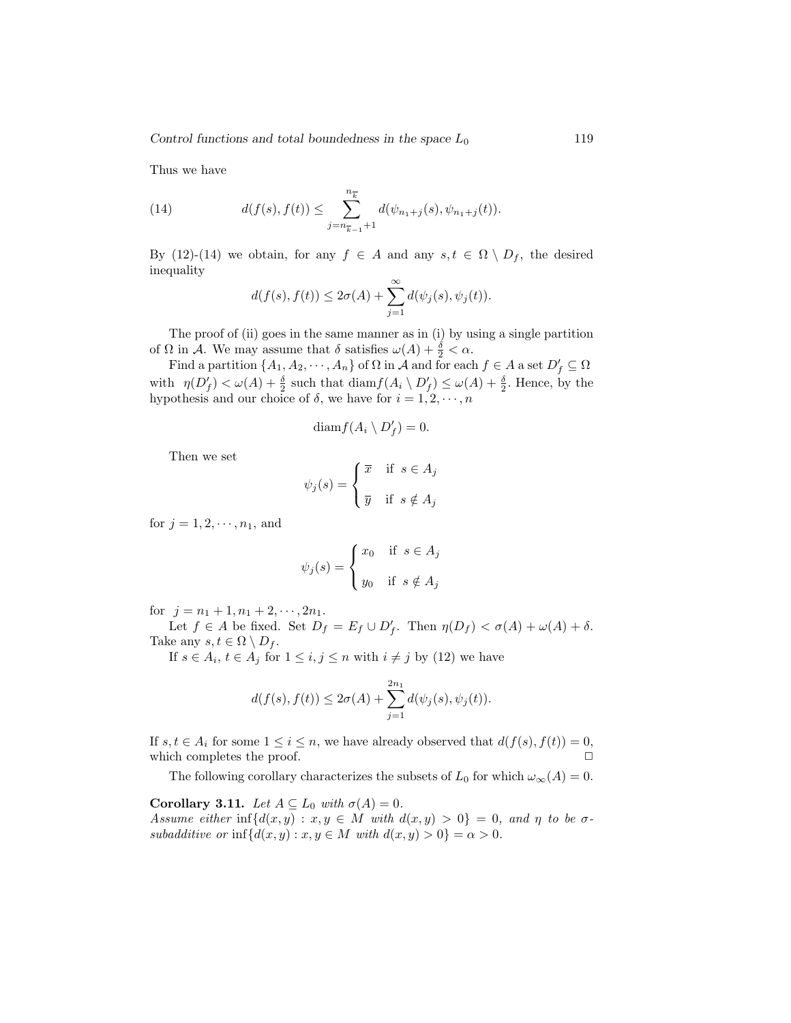Thus we have

(14) 
$$
d(f(s), f(t)) \leq \sum_{j=n_{\overline{k}-1}+1}^{n_{\overline{k}}} d(\psi_{n_1+j}(s), \psi_{n_1+j}(t)).
$$

By (12)-(14) we obtain, for any  $f \in A$  and any  $s, t \in \Omega \setminus D_f$ , the desired inequality

$$
d(f(s), f(t)) \leq 2\sigma(A) + \sum_{j=1}^{\infty} d(\psi_j(s), \psi_j(t)).
$$

The proof of (ii) goes in the same manner as in (i) by using a single partition of  $\Omega$  in A. We may assume that  $\delta$  satisfies  $\omega(A) + \frac{\delta}{2} < \alpha$ .

Find a partition  $\{A_1, A_2, \dots, A_n\}$  of  $\Omega$  in  $\mathcal A$  and for each  $f \in A$  a set  $D'_f \subseteq \Omega$ with  $\eta(D'_f) < \omega(A) + \frac{\delta}{2}$  such that  $\text{diam}_f(A_i \setminus D'_f) \leq \omega(A) + \frac{\delta}{2}$ . Hence, by the hypothesis and our choice of  $\delta$ , we have for  $i = 1, 2, \dots, n$ 

$$
\text{diam} f(A_i \setminus D'_f) = 0.
$$

Then we set

$$
\psi_j(s) = \begin{cases} \overline{x} & \text{if } s \in A_j \\ \overline{y} & \text{if } s \notin A_j \end{cases}
$$

for  $j = 1, 2, \dots, n_1$ , and

$$
\psi_j(s) = \begin{cases} x_0 & \text{if } s \in A_j \\ y_0 & \text{if } s \notin A_j \end{cases}
$$

for  $j = n_1 + 1, n_1 + 2, \dots, 2n_1$ .

Let  $f \in A$  be fixed. Set  $D_f = E_f \cup D'_f$ . Then  $\eta(D_f) < \sigma(A) + \omega(A) + \delta$ . Take any  $s, t \in \Omega \setminus D_f$ .

If  $s \in A_i$ ,  $t \in A_j$  for  $1 \leq i, j \leq n$  with  $i \neq j$  by (12) we have

$$
d(f(s), f(t)) \leq 2\sigma(A) + \sum_{j=1}^{2n_1} d(\psi_j(s), \psi_j(t)).
$$

If  $s, t \in A_i$  for some  $1 \leq i \leq n$ , we have already observed that  $d(f(s), f(t)) = 0$ , which completes the proof.

The following corollary characterizes the subsets of  $L_0$  for which  $\omega_{\infty}(A) = 0$ .

Corollary 3.11. Let  $A \subseteq L_0$  with  $\sigma(A) = 0$ . Assume either inf $\{d(x,y) : x, y \in M \text{ with } d(x,y) > 0\} = 0$ , and  $\eta$  to be  $\sigma$ subadditive or inf $\{d(x, y) : x, y \in M \text{ with } d(x, y) > 0\} = \alpha > 0.$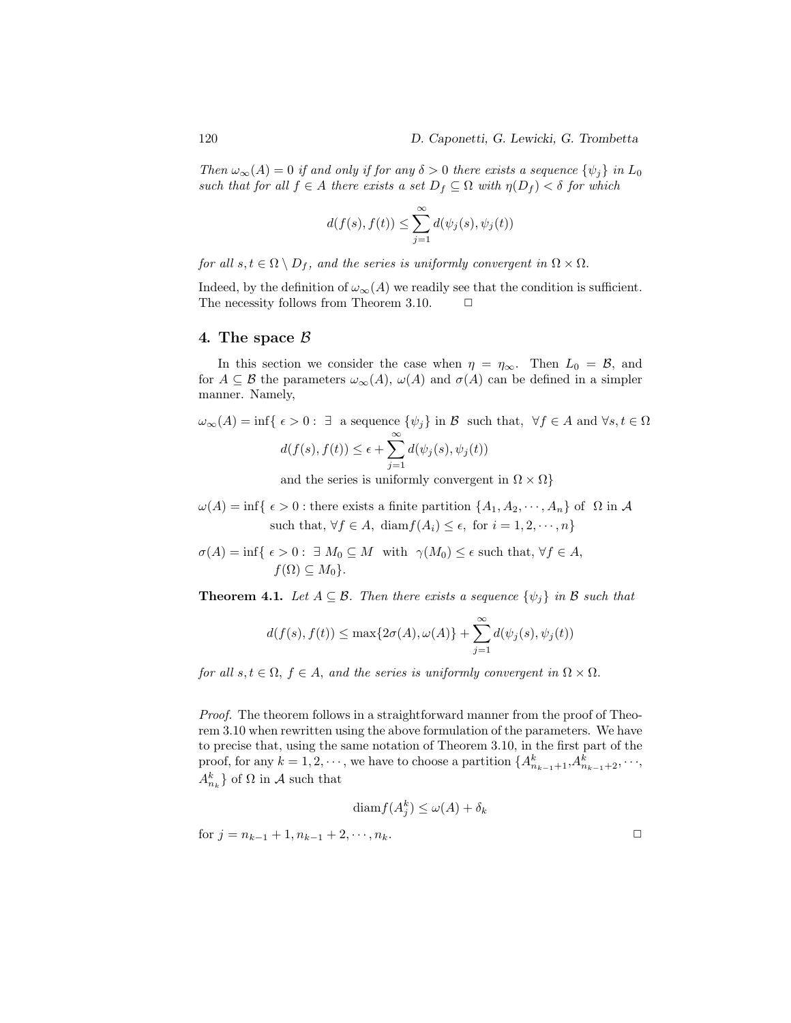Then  $\omega_{\infty}(A) = 0$  if and only if for any  $\delta > 0$  there exists a sequence  $\{\psi_j\}$  in  $L_0$ such that for all  $f \in A$  there exists a set  $D_f \subseteq \Omega$  with  $\eta(D_f) < \delta$  for which

$$
d(f(s), f(t)) \le \sum_{j=1}^{\infty} d(\psi_j(s), \psi_j(t))
$$

for all  $s, t \in \Omega \setminus D_f$ , and the series is uniformly convergent in  $\Omega \times \Omega$ .

Indeed, by the definition of  $\omega_{\infty}(A)$  we readily see that the condition is sufficient. The necessity follows from Theorem 3.10.  $\Box$ 

#### 4. The space  $\beta$

In this section we consider the case when  $\eta = \eta_{\infty}$ . Then  $L_0 = \mathcal{B}$ , and for  $A \subseteq \mathcal{B}$  the parameters  $\omega_{\infty}(A)$ ,  $\omega(A)$  and  $\sigma(A)$  can be defined in a simpler manner. Namely,

$$
\omega_{\infty}(A) = \inf \{ \epsilon > 0 : \exists \text{ a sequence } \{ \psi_j \} \text{ in } \mathcal{B} \text{ such that, } \forall f \in A \text{ and } \forall s, t \in \Omega
$$

$$
d(f(s), f(t)) \le \epsilon + \sum_{j=1}^{\infty} d(\psi_j(s), \psi_j(t))
$$
and the series is uniformly convergent in  $\Omega \times \Omega$ 

eries is uniformly convergent in  $\Omega \times \Omega$ 

- $\omega(A) = \inf \{ \epsilon > 0 : \text{there exists a finite partition } \{A_1, A_2, \cdots, A_n\} \text{ of } \Omega \text{ in } A \}$ such that,  $\forall f \in A$ , diam $f(A_i) \leq \epsilon$ , for  $i = 1, 2, \dots, n$
- $\sigma(A) = \inf \{ \epsilon > 0 : \exists M_0 \subseteq M \text{ with } \gamma(M_0) \leq \epsilon \text{ such that, } \forall f \in A,$  $f(\Omega) \subset M_0$ .

**Theorem 4.1.** Let  $A \subseteq \mathcal{B}$ . Then there exists a sequence  $\{\psi_j\}$  in  $\mathcal{B}$  such that

$$
d(f(s), f(t)) \le \max\{2\sigma(A), \omega(A)\} + \sum_{j=1}^{\infty} d(\psi_j(s), \psi_j(t))
$$

for all  $s, t \in \Omega$ ,  $f \in A$ , and the series is uniformly convergent in  $\Omega \times \Omega$ .

Proof. The theorem follows in a straightforward manner from the proof of Theorem 3.10 when rewritten using the above formulation of the parameters. We have to precise that, using the same notation of Theorem 3.10, in the first part of the proof, for any  $k = 1, 2, \dots$ , we have to choose a partition  $\{A_{n_{k-1}+1}^k, A_{n_{k-1}+2}^k, \dots, A_{n_k}^k\}$  $A_{n_k}^k$  of  $\Omega$  in A such that

$$
\operatorname{diam} f(A_j^k) \le \omega(A) + \delta_k
$$
\n
$$
\text{for } j = n_{k-1} + 1, n_{k-1} + 2, \dots, n_k.
$$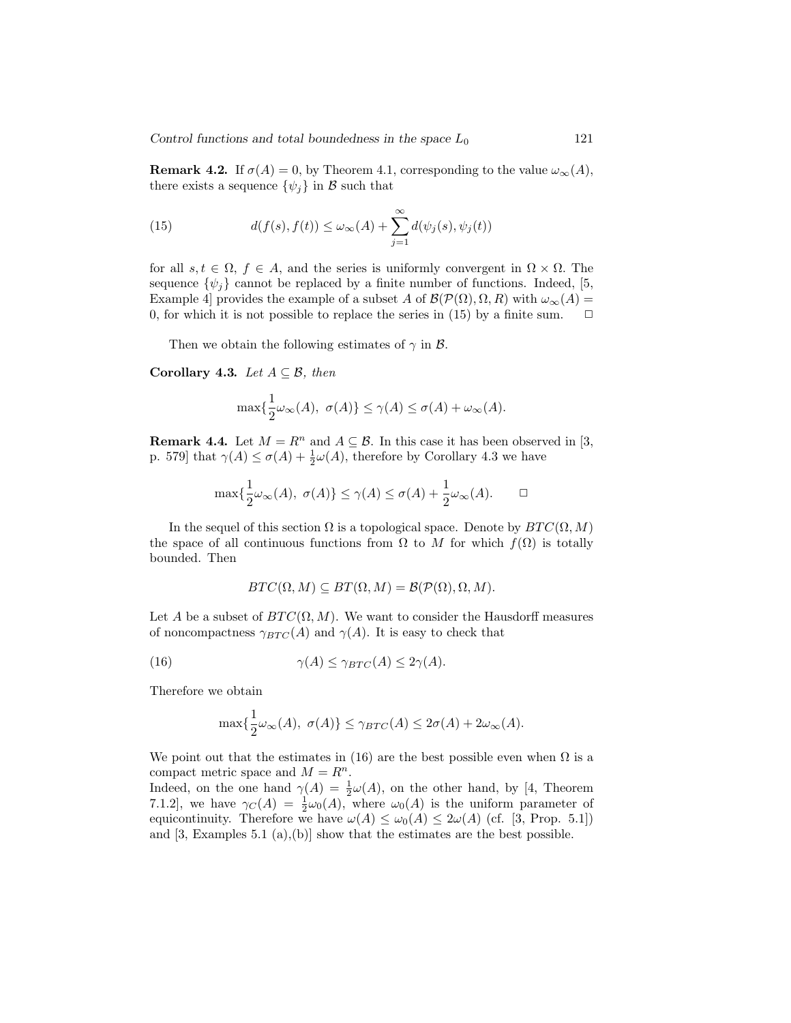**Remark 4.2.** If  $\sigma(A) = 0$ , by Theorem 4.1, corresponding to the value  $\omega_{\infty}(A)$ , there exists a sequence  $\{\psi_i\}$  in B such that

(15) 
$$
d(f(s), f(t)) \leq \omega_{\infty}(A) + \sum_{j=1}^{\infty} d(\psi_j(s), \psi_j(t))
$$

for all  $s, t \in \Omega$ ,  $f \in A$ , and the series is uniformly convergent in  $\Omega \times \Omega$ . The sequence  $\{\psi_i\}$  cannot be replaced by a finite number of functions. Indeed, [5, Example 4] provides the example of a subset A of  $\mathcal{B}(\mathcal{P}(\Omega), \Omega, R)$  with  $\omega_{\infty}(A) =$ 0, for which it is not possible to replace the series in (15) by a finite sum.  $\Box$ 

Then we obtain the following estimates of  $\gamma$  in  $\beta$ .

Corollary 4.3. Let  $A \subseteq \mathcal{B}$ , then

$$
\max\{\frac{1}{2}\omega_{\infty}(A), \ \sigma(A)\} \leq \gamma(A) \leq \sigma(A) + \omega_{\infty}(A).
$$

**Remark 4.4.** Let  $M = R^n$  and  $A \subseteq \mathcal{B}$ . In this case it has been observed in [3, p. 579] that  $\gamma(A) \leq \sigma(A) + \frac{1}{2}\omega(A)$ , therefore by Corollary 4.3 we have

$$
\max\{\frac{1}{2}\omega_{\infty}(A), \ \sigma(A)\} \le \gamma(A) \le \sigma(A) + \frac{1}{2}\omega_{\infty}(A). \qquad \Box
$$

In the sequel of this section  $\Omega$  is a topological space. Denote by  $BTC(\Omega, M)$ the space of all continuous functions from  $\Omega$  to M for which  $f(\Omega)$  is totally bounded. Then

$$
BTC(\Omega, M) \subseteq BT(\Omega, M) = \mathcal{B}(\mathcal{P}(\Omega), \Omega, M).
$$

Let A be a subset of  $BTC(\Omega, M)$ . We want to consider the Hausdorff measures of noncompactness  $\gamma_{BTC}(A)$  and  $\gamma(A)$ . It is easy to check that

(16) 
$$
\gamma(A) \leq \gamma_{BTC}(A) \leq 2\gamma(A).
$$

Therefore we obtain

$$
\max\{\frac{1}{2}\omega_{\infty}(A), \ \sigma(A)\} \leq \gamma_{BTC}(A) \leq 2\sigma(A) + 2\omega_{\infty}(A).
$$

We point out that the estimates in (16) are the best possible even when  $\Omega$  is a compact metric space and  $M = R^n$ .

Indeed, on the one hand  $\gamma(A) = \frac{1}{2}\omega(A)$ , on the other hand, by [4, Theorem 7.1.2], we have  $\gamma_C(A) = \frac{1}{2}\omega_0(A)$ , where  $\omega_0(A)$  is the uniform parameter of equicontinuity. Therefore we have  $\omega(A) \leq \omega_0(A) \leq 2\omega(A)$  (cf. [3, Prop. 5.1]) and  $[3, \text{Examples } 5.1 \text{ (a),(b)}]$  show that the estimates are the best possible.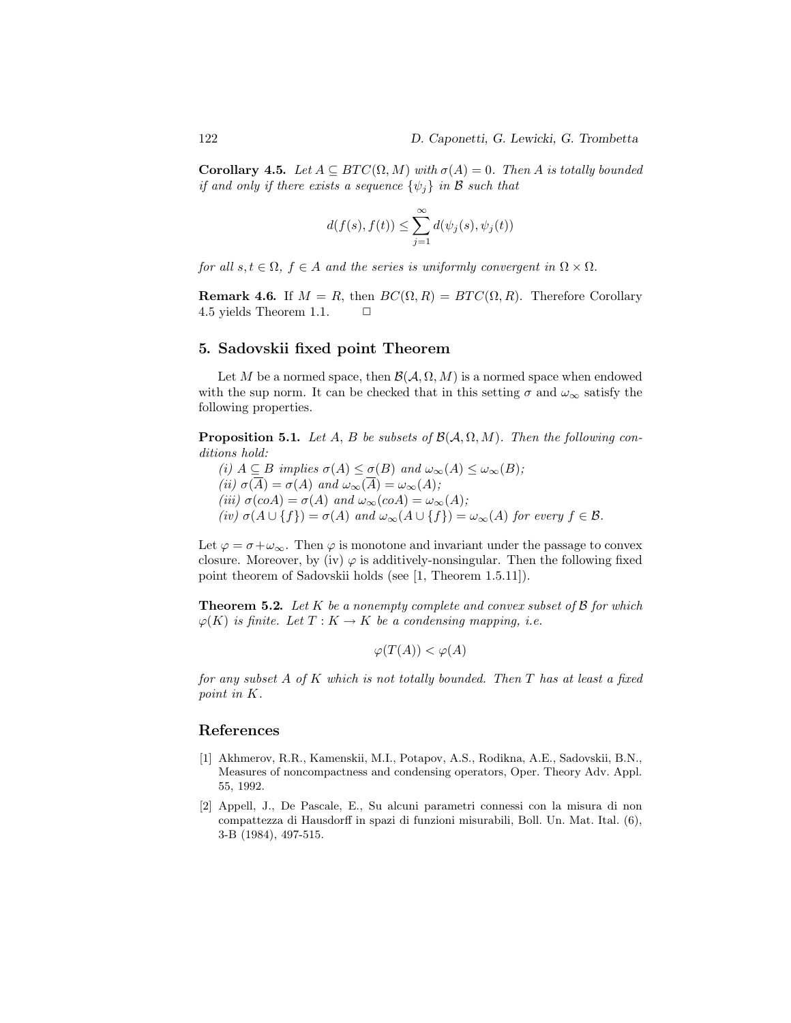**Corollary 4.5.** Let  $A \subseteq BTC(\Omega, M)$  with  $\sigma(A) = 0$ . Then A is totally bounded if and only if there exists a sequence  $\{\psi_i\}$  in B such that

$$
d(f(s), f(t)) \le \sum_{j=1}^{\infty} d(\psi_j(s), \psi_j(t))
$$

for all  $s, t \in \Omega$ ,  $f \in A$  and the series is uniformly convergent in  $\Omega \times \Omega$ .

**Remark 4.6.** If  $M = R$ , then  $BC(\Omega, R) = BTC(\Omega, R)$ . Therefore Corollary 4.5 yields Theorem 1.1.  $\Box$ 

## 5. Sadovskii fixed point Theorem

Let M be a normed space, then  $\mathcal{B}(\mathcal{A}, \Omega, M)$  is a normed space when endowed with the sup norm. It can be checked that in this setting  $\sigma$  and  $\omega_{\infty}$  satisfy the following properties.

**Proposition 5.1.** Let A, B be subsets of  $\mathcal{B}(\mathcal{A}, \Omega, M)$ . Then the following conditions hold:

(i)  $A \subseteq B$  implies  $\sigma(A) \leq \sigma(B)$  and  $\omega_{\infty}(A) \leq \omega_{\infty}(B)$ ; (ii)  $\sigma(\overline{A}) = \sigma(A)$  and  $\omega_{\infty}(\overline{A}) = \omega_{\infty}(A)$ ; (iii)  $\sigma(coA) = \sigma(A)$  and  $\omega_{\infty}(coA) = \omega_{\infty}(A);$ (iv)  $\sigma(A \cup \{f\}) = \sigma(A)$  and  $\omega_{\infty}(A \cup \{f\}) = \omega_{\infty}(A)$  for every  $f \in \mathcal{B}$ .

Let  $\varphi = \sigma + \omega_{\infty}$ . Then  $\varphi$  is monotone and invariant under the passage to convex closure. Moreover, by (iv)  $\varphi$  is additively-nonsingular. Then the following fixed point theorem of Sadovskii holds (see [1, Theorem 1.5.11]).

**Theorem 5.2.** Let K be a nonempty complete and convex subset of  $\beta$  for which  $\varphi(K)$  is finite. Let  $T: K \to K$  be a condensing mapping, i.e.

$$
\varphi(T(A)) < \varphi(A)
$$

for any subset  $A$  of  $K$  which is not totally bounded. Then  $T$  has at least a fixed point in K.

### References

- [1] Akhmerov, R.R., Kamenskii, M.I., Potapov, A.S., Rodikna, A.E., Sadovskii, B.N., Measures of noncompactness and condensing operators, Oper. Theory Adv. Appl. 55, 1992.
- [2] Appell, J., De Pascale, E., Su alcuni parametri connessi con la misura di non compattezza di Hausdorff in spazi di funzioni misurabili, Boll. Un. Mat. Ital. (6), 3-B (1984), 497-515.